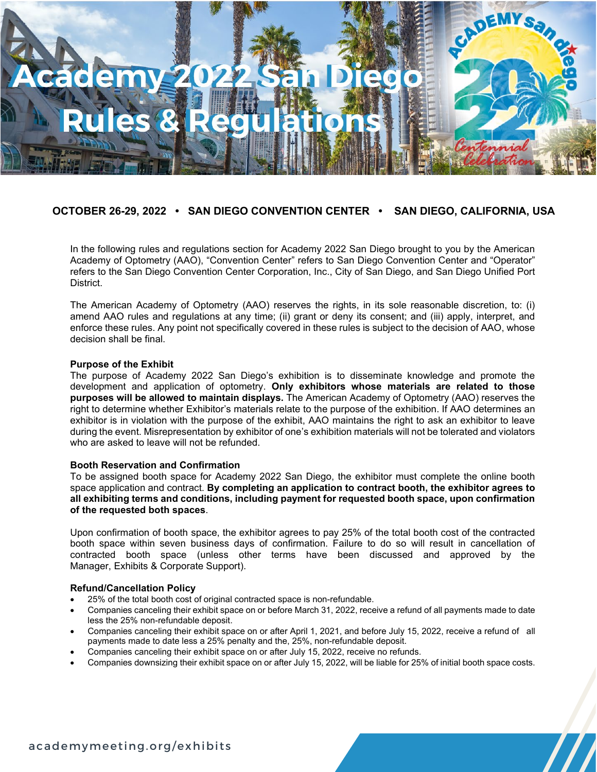

# **OCTOBER 26-29, 2022 • SAN DIEGO CONVENTION CENTER • SAN DIEGO, CALIFORNIA, USA**

In the following rules and regulations section for Academy 2022 San Diego brought to you by the American Academy of Optometry (AAO), "Convention Center" refers to San Diego Convention Center and "Operator" refers to the San Diego Convention Center Corporation, Inc., City of San Diego, and San Diego Unified Port District.

The American Academy of Optometry (AAO) reserves the rights, in its sole reasonable discretion, to: (i) amend AAO rules and regulations at any time; (ii) grant or deny its consent; and (iii) apply, interpret, and enforce these rules. Any point not specifically covered in these rules is subject to the decision of AAO, whose decision shall be final.

#### **Purpose of the Exhibit**

The purpose of Academy 2022 San Diego's exhibition is to disseminate knowledge and promote the development and application of optometry. **Only exhibitors whose materials are related to those purposes will be allowed to maintain displays.** The American Academy of Optometry (AAO) reserves the right to determine whether Exhibitor's materials relate to the purpose of the exhibition. If AAO determines an exhibitor is in violation with the purpose of the exhibit, AAO maintains the right to ask an exhibitor to leave during the event. Misrepresentation by exhibitor of one's exhibition materials will not be tolerated and violators who are asked to leave will not be refunded.

#### **Booth Reservation and Confirmation**

To be assigned booth space for Academy 2022 San Diego, the exhibitor must complete the online booth space application and contract. **By completing an application to contract booth, the exhibitor agrees to all exhibiting terms and conditions, including payment for requested booth space, upon confirmation of the requested both spaces**.

Upon confirmation of booth space, the exhibitor agrees to pay 25% of the total booth cost of the contracted booth space within seven business days of confirmation. Failure to do so will result in cancellation of contracted booth space (unless other terms have been discussed and approved by the Manager, Exhibits & Corporate Support).

#### **Refund/Cancellation Policy**

- 25% of the total booth cost of original contracted space is non-refundable.
- Companies canceling their exhibit space on or before March 31, 2022, receive a refund of all payments made to date less the 25% non-refundable deposit.
- Companies canceling their exhibit space on or after April 1, 2021, and before July 15, 2022, receive a refund of all payments made to date less a 25% penalty and the, 25%, non-refundable deposit.
- Companies canceling their exhibit space on or after July 15, 2022, receive no refunds.
- Companies downsizing their exhibit space on or after July 15, 2022, will be liable for 25% of initial booth space costs.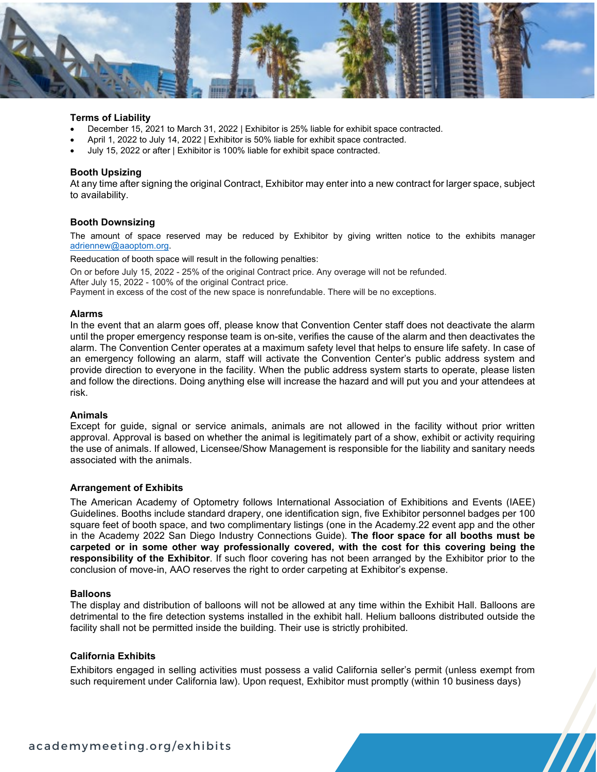

# **Terms of Liability**

- December 15, 2021 to March 31, 2022 | Exhibitor is 25% liable for exhibit space contracted.
- April 1, 2022 to July 14, 2022 | Exhibitor is 50% liable for exhibit space contracted.
- July 15, 2022 or after | Exhibitor is 100% liable for exhibit space contracted.

# **Booth Upsizing**

At any time after signing the original Contract, Exhibitor may enter into a new contract for larger space, subject to availability.

#### **Booth Downsizing**

The amount of space reserved may be reduced by Exhibitor by giving written notice to the exhibits manager [adriennew@aaoptom.org.](mailto:adriennew@aaoptom.org)

Reeducation of booth space will result in the following penalties:

On or before July 15, 2022 - 25% of the original Contract price. Any overage will not be refunded. After July 15, 2022 - 100% of the original Contract price.

Payment in excess of the cost of the new space is nonrefundable. There will be no exceptions.

#### **Alarms**

In the event that an alarm goes off, please know that Convention Center staff does not deactivate the alarm until the proper emergency response team is on-site, verifies the cause of the alarm and then deactivates the alarm. The Convention Center operates at a maximum safety level that helps to ensure life safety. In case of an emergency following an alarm, staff will activate the Convention Center's public address system and provide direction to everyone in the facility. When the public address system starts to operate, please listen and follow the directions. Doing anything else will increase the hazard and will put you and your attendees at risk.

#### **Animals**

Except for guide, signal or service animals, animals are not allowed in the facility without prior written approval. Approval is based on whether the animal is legitimately part of a show, exhibit or activity requiring the use of animals. If allowed, Licensee/Show Management is responsible for the liability and sanitary needs associated with the animals.

#### **Arrangement of Exhibits**

The American Academy of Optometry follows International Association of Exhibitions and Events (IAEE) Guidelines. Booths include standard drapery, one identification sign, five Exhibitor personnel badges per 100 square feet of booth space, and two complimentary listings (one in the Academy.22 event app and the other in the Academy 2022 San Diego Industry Connections Guide). **The floor space for all booths must be carpeted or in some other way professionally covered, with the cost for this covering being the responsibility of the Exhibitor**. If such floor covering has not been arranged by the Exhibitor prior to the conclusion of move-in, AAO reserves the right to order carpeting at Exhibitor's expense.

#### **Balloons**

The display and distribution of balloons will not be allowed at any time within the Exhibit Hall. Balloons are detrimental to the fire detection systems installed in the exhibit hall. Helium balloons distributed outside the facility shall not be permitted inside the building. Their use is strictly prohibited.

# **California Exhibits**

Exhibitors engaged in selling activities must possess a valid California seller's permit (unless exempt from such requirement under California law). Upon request, Exhibitor must promptly (within 10 business days)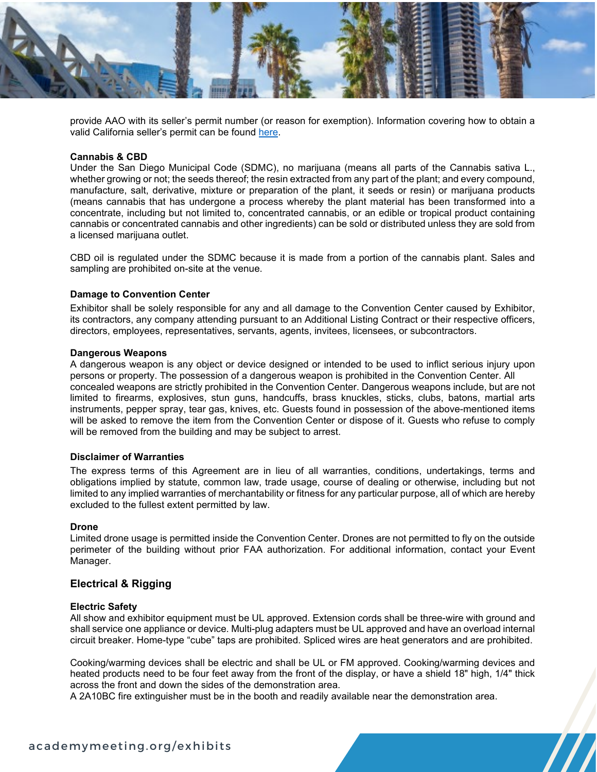

provide AAO with its seller's permit number (or reason for exemption). Information covering how to obtain a valid California seller's permit can be found [here.](https://s19.a2zinc.net/clients/Bonnier/ORECA2021/custom/Documents/Resource%20Center/BOE-Instructions-Form_2021.pdf)

# **Cannabis & CBD**

Under the San Diego Municipal Code (SDMC), no marijuana (means all parts of the Cannabis sativa L., whether growing or not; the seeds thereof; the resin extracted from any part of the plant; and every compound, manufacture, salt, derivative, mixture or preparation of the plant, it seeds or resin) or marijuana products (means cannabis that has undergone a process whereby the plant material has been transformed into a concentrate, including but not limited to, concentrated cannabis, or an edible or tropical product containing cannabis or concentrated cannabis and other ingredients) can be sold or distributed unless they are sold from a licensed marijuana outlet.

CBD oil is regulated under the SDMC because it is made from a portion of the cannabis plant. Sales and sampling are prohibited on-site at the venue.

# **Damage to Convention Center**

Exhibitor shall be solely responsible for any and all damage to the Convention Center caused by Exhibitor, its contractors, any company attending pursuant to an Additional Listing Contract or their respective officers, directors, employees, representatives, servants, agents, invitees, licensees, or subcontractors.

# **Dangerous Weapons**

A dangerous weapon is any object or device designed or intended to be used to inflict serious injury upon persons or property. The possession of a dangerous weapon is prohibited in the Convention Center. All concealed weapons are strictly prohibited in the Convention Center. Dangerous weapons include, but are not limited to firearms, explosives, stun guns, handcuffs, brass knuckles, sticks, clubs, batons, martial arts instruments, pepper spray, tear gas, knives, etc. Guests found in possession of the above-mentioned items will be asked to remove the item from the Convention Center or dispose of it. Guests who refuse to comply will be removed from the building and may be subject to arrest.

#### **Disclaimer of Warranties**

The express terms of this Agreement are in lieu of all warranties, conditions, undertakings, terms and obligations implied by statute, common law, trade usage, course of dealing or otherwise, including but not limited to any implied warranties of merchantability or fitness for any particular purpose, all of which are hereby excluded to the fullest extent permitted by law.

#### **Drone**

Limited drone usage is permitted inside the Convention Center. Drones are not permitted to fly on the outside perimeter of the building without prior FAA authorization. For additional information, contact your Event Manager.

# **Electrical & Rigging**

#### **Electric Safety**

All show and exhibitor equipment must be UL approved. Extension cords shall be three-wire with ground and shall service one appliance or device. Multi-plug adapters must be UL approved and have an overload internal circuit breaker. Home-type "cube" taps are prohibited. Spliced wires are heat generators and are prohibited.

Cooking/warming devices shall be electric and shall be UL or FM approved. Cooking/warming devices and heated products need to be four feet away from the front of the display, or have a shield 18" high, 1/4" thick across the front and down the sides of the demonstration area.

A 2A10BC fire extinguisher must be in the booth and readily available near the demonstration area.

# academymeeting.org/exhibits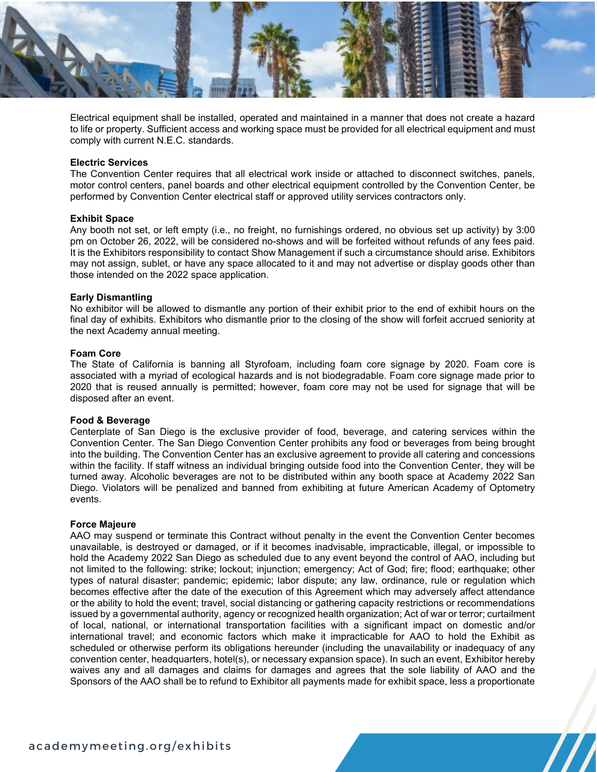

Electrical equipment shall be installed, operated and maintained in a manner that does not create a hazard to life or property. Sufficient access and working space must be provided for all electrical equipment and must comply with current N.E.C. standards.

# **Electric Services**

The Convention Center requires that all electrical work inside or attached to disconnect switches, panels, motor control centers, panel boards and other electrical equipment controlled by the Convention Center, be performed by Convention Center electrical staff or approved utility services contractors only.

# **Exhibit Space**

Any booth not set, or left empty (i.e., no freight, no furnishings ordered, no obvious set up activity) by 3:00 pm on October 26, 2022, will be considered no-shows and will be forfeited without refunds of any fees paid. It is the Exhibitors responsibility to contact Show Management if such a circumstance should arise. Exhibitors may not assign, sublet, or have any space allocated to it and may not advertise or display goods other than those intended on the 2022 space application.

# **Early Dismantling**

No exhibitor will be allowed to dismantle any portion of their exhibit prior to the end of exhibit hours on the final day of exhibits. Exhibitors who dismantle prior to the closing of the show will forfeit accrued seniority at the next Academy annual meeting.

# **Foam Core**

The State of California is banning all Styrofoam, including foam core signage by 2020. Foam core is associated with a myriad of ecological hazards and is not biodegradable. Foam core signage made prior to 2020 that is reused annually is permitted; however, foam core may not be used for signage that will be disposed after an event.

# **Food & Beverage**

Centerplate of San Diego is the exclusive provider of food, beverage, and catering services within the Convention Center. The San Diego Convention Center prohibits any food or beverages from being brought into the building. The Convention Center has an exclusive agreement to provide all catering and concessions within the facility. If staff witness an individual bringing outside food into the Convention Center, they will be turned away. Alcoholic beverages are not to be distributed within any booth space at Academy 2022 San Diego. Violators will be penalized and banned from exhibiting at future American Academy of Optometry events.

#### **Force Majeure**

AAO may suspend or terminate this Contract without penalty in the event the Convention Center becomes unavailable, is destroyed or damaged, or if it becomes inadvisable, impracticable, illegal, or impossible to hold the Academy 2022 San Diego as scheduled due to any event beyond the control of AAO, including but not limited to the following: strike; lockout; injunction; emergency; Act of God; fire; flood; earthquake; other types of natural disaster; pandemic; epidemic; labor dispute; any law, ordinance, rule or regulation which becomes effective after the date of the execution of this Agreement which may adversely affect attendance or the ability to hold the event; travel, social distancing or gathering capacity restrictions or recommendations issued by a governmental authority, agency or recognized health organization; Act of war or terror; curtailment of local, national, or international transportation facilities with a significant impact on domestic and/or international travel; and economic factors which make it impracticable for AAO to hold the Exhibit as scheduled or otherwise perform its obligations hereunder (including the unavailability or inadequacy of any convention center, headquarters, hotel(s), or necessary expansion space). In such an event, Exhibitor hereby waives any and all damages and claims for damages and agrees that the sole liability of AAO and the Sponsors of the AAO shall be to refund to Exhibitor all payments made for exhibit space, less a proportionate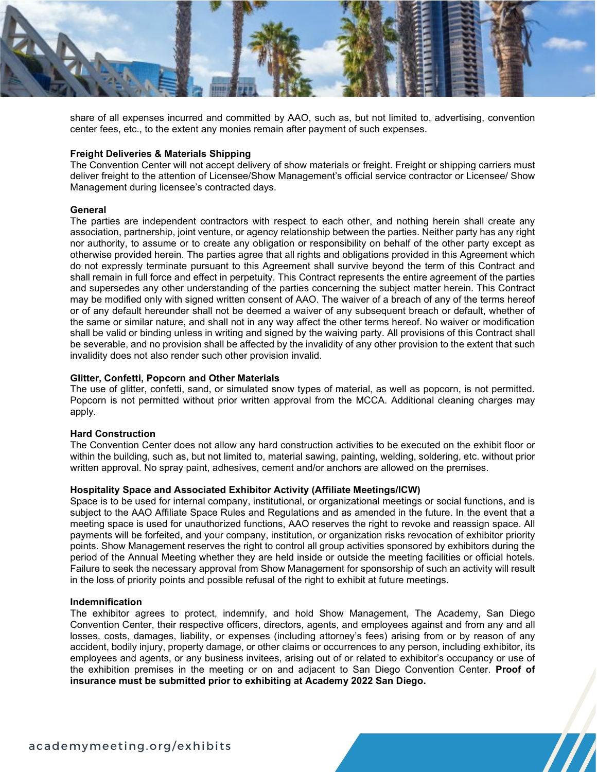

share of all expenses incurred and committed by AAO, such as, but not limited to, advertising, convention center fees, etc., to the extent any monies remain after payment of such expenses.

# **Freight Deliveries & Materials Shipping**

The Convention Center will not accept delivery of show materials or freight. Freight or shipping carriers must deliver freight to the attention of Licensee/Show Management's official service contractor or Licensee/ Show Management during licensee's contracted days.

# **General**

The parties are independent contractors with respect to each other, and nothing herein shall create any association, partnership, joint venture, or agency relationship between the parties. Neither party has any right nor authority, to assume or to create any obligation or responsibility on behalf of the other party except as otherwise provided herein. The parties agree that all rights and obligations provided in this Agreement which do not expressly terminate pursuant to this Agreement shall survive beyond the term of this Contract and shall remain in full force and effect in perpetuity. This Contract represents the entire agreement of the parties and supersedes any other understanding of the parties concerning the subject matter herein. This Contract may be modified only with signed written consent of AAO. The waiver of a breach of any of the terms hereof or of any default hereunder shall not be deemed a waiver of any subsequent breach or default, whether of the same or similar nature, and shall not in any way affect the other terms hereof. No waiver or modification shall be valid or binding unless in writing and signed by the waiving party. All provisions of this Contract shall be severable, and no provision shall be affected by the invalidity of any other provision to the extent that such invalidity does not also render such other provision invalid.

# **Glitter, Confetti, Popcorn and Other Materials**

The use of glitter, confetti, sand, or simulated snow types of material, as well as popcorn, is not permitted. Popcorn is not permitted without prior written approval from the MCCA. Additional cleaning charges may apply.

# **Hard Construction**

The Convention Center does not allow any hard construction activities to be executed on the exhibit floor or within the building, such as, but not limited to, material sawing, painting, welding, soldering, etc. without prior written approval. No spray paint, adhesives, cement and/or anchors are allowed on the premises.

### **Hospitality Space and Associated Exhibitor Activity (Affiliate Meetings/ICW)**

Space is to be used for internal company, institutional, or organizational meetings or social functions, and is subject to the AAO Affiliate Space Rules and Regulations and as amended in the future. In the event that a meeting space is used for unauthorized functions, AAO reserves the right to revoke and reassign space. All payments will be forfeited, and your company, institution, or organization risks revocation of exhibitor priority points. Show Management reserves the right to control all group activities sponsored by exhibitors during the period of the Annual Meeting whether they are held inside or outside the meeting facilities or official hotels. Failure to seek the necessary approval from Show Management for sponsorship of such an activity will result in the loss of priority points and possible refusal of the right to exhibit at future meetings.

# **Indemnification**

The exhibitor agrees to protect, indemnify, and hold Show Management, The Academy, San Diego Convention Center, their respective officers, directors, agents, and employees against and from any and all losses, costs, damages, liability, or expenses (including attorney's fees) arising from or by reason of any accident, bodily injury, property damage, or other claims or occurrences to any person, including exhibitor, its employees and agents, or any business invitees, arising out of or related to exhibitor's occupancy or use of the exhibition premises in the meeting or on and adjacent to San Diego Convention Center. **Proof of insurance must be submitted prior to exhibiting at Academy 2022 San Diego.**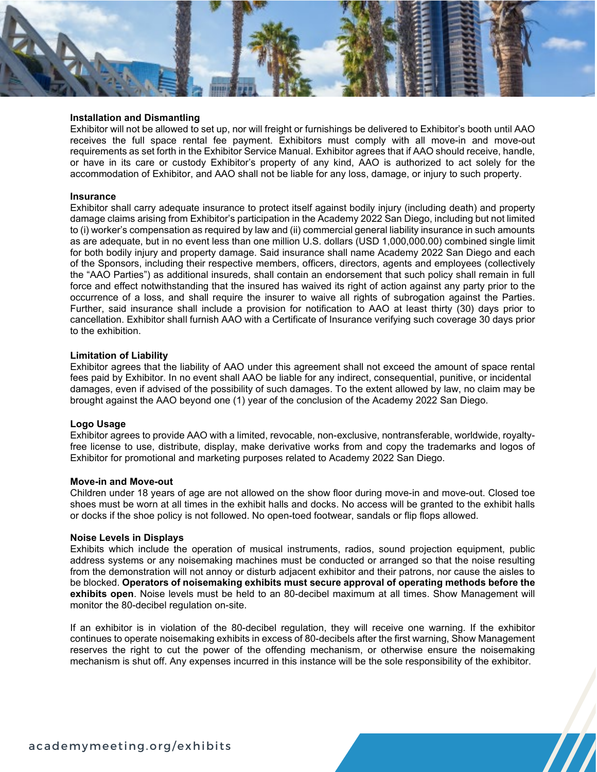# **Installation and Dismantling**

Exhibitor will not be allowed to set up, nor will freight or furnishings be delivered to Exhibitor's booth until AAO receives the full space rental fee payment. Exhibitors must comply with all move-in and move-out requirements as set forth in the Exhibitor Service Manual. Exhibitor agrees that if AAO should receive, handle, or have in its care or custody Exhibitor's property of any kind, AAO is authorized to act solely for the accommodation of Exhibitor, and AAO shall not be liable for any loss, damage, or injury to such property.

#### **Insurance**

Exhibitor shall carry adequate insurance to protect itself against bodily injury (including death) and property damage claims arising from Exhibitor's participation in the Academy 2022 San Diego, including but not limited to (i) worker's compensation as required by law and (ii) commercial general liability insurance in such amounts as are adequate, but in no event less than one million U.S. dollars (USD 1,000,000.00) combined single limit for both bodily injury and property damage. Said insurance shall name Academy 2022 San Diego and each of the Sponsors, including their respective members, officers, directors, agents and employees (collectively the "AAO Parties") as additional insureds, shall contain an endorsement that such policy shall remain in full force and effect notwithstanding that the insured has waived its right of action against any party prior to the occurrence of a loss, and shall require the insurer to waive all rights of subrogation against the Parties. Further, said insurance shall include a provision for notification to AAO at least thirty (30) days prior to cancellation. Exhibitor shall furnish AAO with a Certificate of Insurance verifying such coverage 30 days prior to the exhibition.

#### **Limitation of Liability**

Exhibitor agrees that the liability of AAO under this agreement shall not exceed the amount of space rental fees paid by Exhibitor. In no event shall AAO be liable for any indirect, consequential, punitive, or incidental damages, even if advised of the possibility of such damages. To the extent allowed by law, no claim may be brought against the AAO beyond one (1) year of the conclusion of the Academy 2022 San Diego.

#### **Logo Usage**

Exhibitor agrees to provide AAO with a limited, revocable, non-exclusive, nontransferable, worldwide, royaltyfree license to use, distribute, display, make derivative works from and copy the trademarks and logos of Exhibitor for promotional and marketing purposes related to Academy 2022 San Diego.

#### **Move-in and Move-out**

Children under 18 years of age are not allowed on the show floor during move-in and move-out. Closed toe shoes must be worn at all times in the exhibit halls and docks. No access will be granted to the exhibit halls or docks if the shoe policy is not followed. No open-toed footwear, sandals or flip flops allowed.

#### **Noise Levels in Displays**

Exhibits which include the operation of musical instruments, radios, sound projection equipment, public address systems or any noisemaking machines must be conducted or arranged so that the noise resulting from the demonstration will not annoy or disturb adjacent exhibitor and their patrons, nor cause the aisles to be blocked. **Operators of noisemaking exhibits must secure approval of operating methods before the exhibits open**. Noise levels must be held to an 80-decibel maximum at all times. Show Management will monitor the 80-decibel regulation on-site.

If an exhibitor is in violation of the 80-decibel regulation, they will receive one warning. If the exhibitor continues to operate noisemaking exhibits in excess of 80-decibels after the first warning, Show Management reserves the right to cut the power of the offending mechanism, or otherwise ensure the noisemaking mechanism is shut off. Any expenses incurred in this instance will be the sole responsibility of the exhibitor.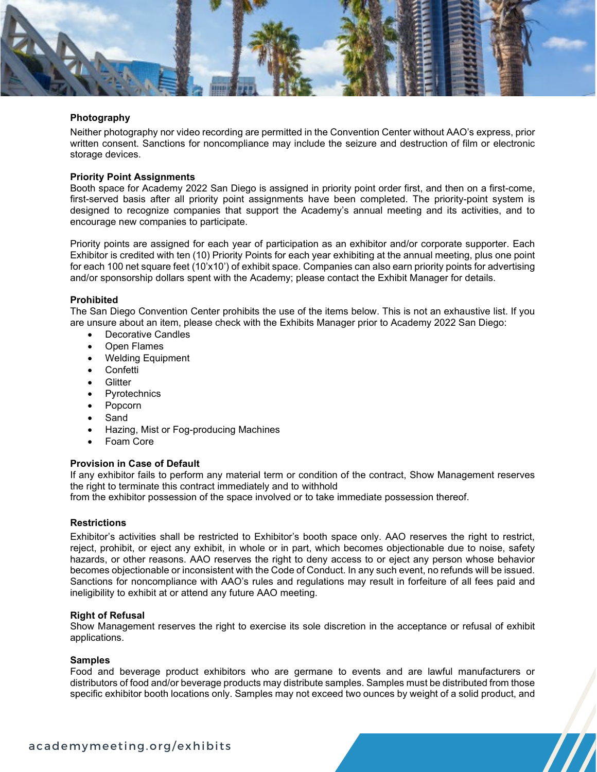

# **Photography**

Neither photography nor video recording are permitted in the Convention Center without AAO's express, prior written consent. Sanctions for noncompliance may include the seizure and destruction of film or electronic storage devices.

# **Priority Point Assignments**

Booth space for Academy 2022 San Diego is assigned in priority point order first, and then on a first-come, first-served basis after all priority point assignments have been completed. The priority-point system is designed to recognize companies that support the Academy's annual meeting and its activities, and to encourage new companies to participate.

Priority points are assigned for each year of participation as an exhibitor and/or corporate supporter. Each Exhibitor is credited with ten (10) Priority Points for each year exhibiting at the annual meeting, plus one point for each 100 net square feet (10'x10') of exhibit space. Companies can also earn priority points for advertising and/or sponsorship dollars spent with the Academy; please contact the Exhibit Manager for details.

# **Prohibited**

The San Diego Convention Center prohibits the use of the items below. This is not an exhaustive list. If you are unsure about an item, please check with the Exhibits Manager prior to Academy 2022 San Diego:

- Decorative Candles
- Open Flames
- Welding Equipment
- Confetti
- Glitter
- **Pyrotechnics**
- Popcorn
- **Sand**
- Hazing, Mist or Fog-producing Machines
- Foam Core

#### **Provision in Case of Default**

If any exhibitor fails to perform any material term or condition of the contract, Show Management reserves the right to terminate this contract immediately and to withhold

from the exhibitor possession of the space involved or to take immediate possession thereof.

#### **Restrictions**

Exhibitor's activities shall be restricted to Exhibitor's booth space only. AAO reserves the right to restrict, reject, prohibit, or eject any exhibit, in whole or in part, which becomes objectionable due to noise, safety hazards, or other reasons. AAO reserves the right to deny access to or eject any person whose behavior becomes objectionable or inconsistent with the Code of Conduct. In any such event, no refunds will be issued. Sanctions for noncompliance with AAO's rules and regulations may result in forfeiture of all fees paid and ineligibility to exhibit at or attend any future AAO meeting.

# **Right of Refusal**

Show Management reserves the right to exercise its sole discretion in the acceptance or refusal of exhibit applications.

#### **Samples**

Food and beverage product exhibitors who are germane to events and are lawful manufacturers or distributors of food and/or beverage products may distribute samples. Samples must be distributed from those specific exhibitor booth locations only. Samples may not exceed two ounces by weight of a solid product, and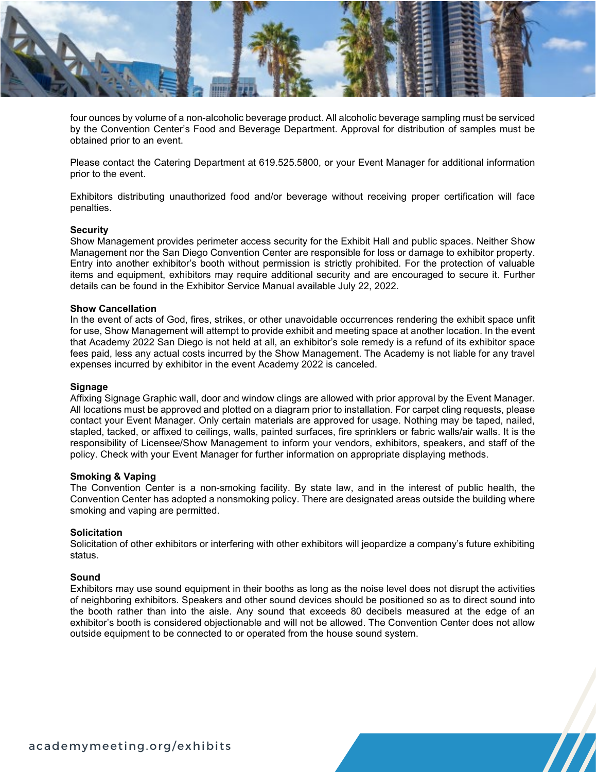

four ounces by volume of a non-alcoholic beverage product. All alcoholic beverage sampling must be serviced by the Convention Center's Food and Beverage Department. Approval for distribution of samples must be obtained prior to an event.

Please contact the Catering Department at 619.525.5800, or your Event Manager for additional information prior to the event.

Exhibitors distributing unauthorized food and/or beverage without receiving proper certification will face penalties.

# **Security**

Show Management provides perimeter access security for the Exhibit Hall and public spaces. Neither Show Management nor the San Diego Convention Center are responsible for loss or damage to exhibitor property. Entry into another exhibitor's booth without permission is strictly prohibited. For the protection of valuable items and equipment, exhibitors may require additional security and are encouraged to secure it. Further details can be found in the Exhibitor Service Manual available July 22, 2022.

#### **Show Cancellation**

In the event of acts of God, fires, strikes, or other unavoidable occurrences rendering the exhibit space unfit for use, Show Management will attempt to provide exhibit and meeting space at another location. In the event that Academy 2022 San Diego is not held at all, an exhibitor's sole remedy is a refund of its exhibitor space fees paid, less any actual costs incurred by the Show Management. The Academy is not liable for any travel expenses incurred by exhibitor in the event Academy 2022 is canceled.

# **Signage**

Affixing Signage Graphic wall, door and window clings are allowed with prior approval by the Event Manager. All locations must be approved and plotted on a diagram prior to installation. For carpet cling requests, please contact your Event Manager. Only certain materials are approved for usage. Nothing may be taped, nailed, stapled, tacked, or affixed to ceilings, walls, painted surfaces, fire sprinklers or fabric walls/air walls. It is the responsibility of Licensee/Show Management to inform your vendors, exhibitors, speakers, and staff of the policy. Check with your Event Manager for further information on appropriate displaying methods.

### **Smoking & Vaping**

The Convention Center is a non-smoking facility. By state law, and in the interest of public health, the Convention Center has adopted a nonsmoking policy. There are designated areas outside the building where smoking and vaping are permitted.

#### **Solicitation**

Solicitation of other exhibitors or interfering with other exhibitors will jeopardize a company's future exhibiting status.

# **Sound**

Exhibitors may use sound equipment in their booths as long as the noise level does not disrupt the activities of neighboring exhibitors. Speakers and other sound devices should be positioned so as to direct sound into the booth rather than into the aisle. Any sound that exceeds 80 decibels measured at the edge of an exhibitor's booth is considered objectionable and will not be allowed. The Convention Center does not allow outside equipment to be connected to or operated from the house sound system.